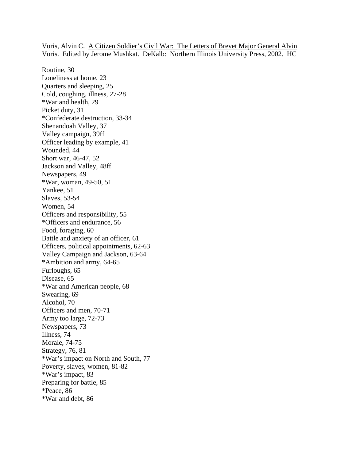Voris, Alvin C. A Citizen Soldier's Civil War: The Letters of Brevet Major General Alvin Voris. Edited by Jerome Mushkat. DeKalb: Northern Illinois University Press, 2002. HC

Routine, 30 Loneliness at home, 23 Quarters and sleeping, 25 Cold, coughing, illness, 27-28 \*War and health, 29 Picket duty, 31 \*Confederate destruction, 33-34 Shenandoah Valley, 37 Valley campaign, 39ff Officer leading by example, 41 Wounded, 44 Short war, 46-47, 52 Jackson and Valley, 48ff Newspapers, 49 \*War, woman, 49-50, 51 Yankee, 51 Slaves, 53-54 Women, 54 Officers and responsibility, 55 \*Officers and endurance, 56 Food, foraging, 60 Battle and anxiety of an officer, 61 Officers, political appointments, 62-63 Valley Campaign and Jackson, 63-64 \*Ambition and army, 64-65 Furloughs, 65 Disease, 65 \*War and American people, 68 Swearing, 69 Alcohol, 70 Officers and men, 70-71 Army too large, 72-73 Newspapers, 73 Illness, 74 Morale, 74-75 Strategy, 76, 81 \*War's impact on North and South, 77 Poverty, slaves, women, 81-82 \*War's impact, 83 Preparing for battle, 85 \*Peace, 86 \*War and debt, 86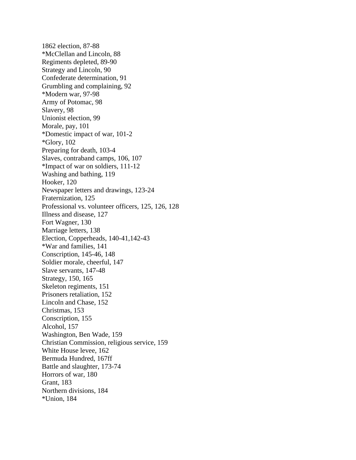1862 election, 87-88 \*McClellan and Lincoln, 88 Regiments depleted, 89-90 Strategy and Lincoln, 90 Confederate determination, 91 Grumbling and complaining, 92 \*Modern war, 97-98 Army of Potomac, 98 Slavery, 98 Unionist election, 99 Morale, pay, 101 \*Domestic impact of war, 101-2 \*Glory, 102 Preparing for death, 103-4 Slaves, contraband camps, 106, 107 \*Impact of war on soldiers, 111-12 Washing and bathing, 119 Hooker, 120 Newspaper letters and drawings, 123-24 Fraternization, 125 Professional vs. volunteer officers, 125, 126, 128 Illness and disease, 127 Fort Wagner, 130 Marriage letters, 138 Election, Copperheads, 140-41,142-43 \*War and families, 141 Conscription, 145-46, 148 Soldier morale, cheerful, 147 Slave servants, 147-48 Strategy, 150, 165 Skeleton regiments, 151 Prisoners retaliation, 152 Lincoln and Chase, 152 Christmas, 153 Conscription, 155 Alcohol, 157 Washington, Ben Wade, 159 Christian Commission, religious service, 159 White House levee, 162 Bermuda Hundred, 167ff Battle and slaughter, 173-74 Horrors of war, 180 Grant, 183 Northern divisions, 184 \*Union, 184